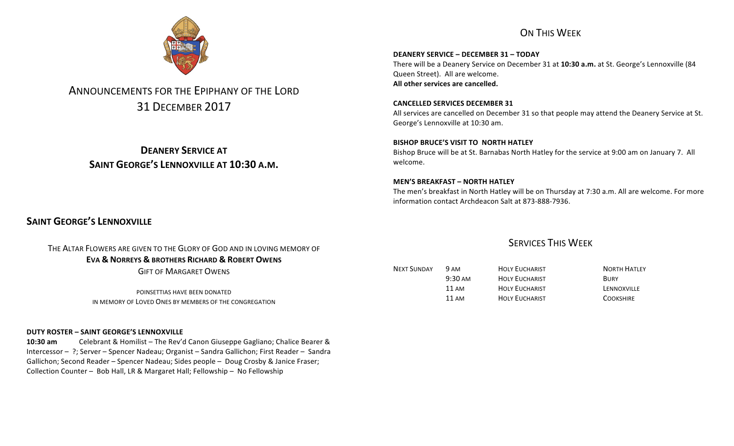# ON THIS WEEK

**DEANERY SERVICE – DECEMBER 31 – TODAY** There will be a Deanery Service on December 31 at 10:30 a.m. at St. George's Lennoxville (84 Queen Street). All are welcome. All other services are cancelled.

**CANCELLED SERVICES DECEMBER 31** All services are cancelled on December 31 so that people may attend the Deanery Service at St. George's Lennoxville at 10:30 am.

**BISHOP BRUCE'S VISIT TO NORTH HATLEY** Bishop Bruce will be at St. Barnabas North Hatley for the service at 9:00 am on January 7. All welcome.

### **MEN'S BREAKFAST – NORTH HATLEY**

The men's breakfast in North Hatley will be on Thursday at 7:30 a.m. All are welcome. For more information contact Archdeacon Salt at 873-888-7936.

# **SAINT GEORGE'S LENNOXVILLE**

THE ALTAR FLOWERS ARE GIVEN TO THE GLORY OF GOD AND IN LOVING MEMORY OF **EVA & NORREYS & BROTHERS RICHARD & ROBERT OWENS GIFT OF MARGARET OWENS** 

> POINSETTIAS HAVE BEEN DONATED IN MEMORY OF LOVED ONES BY MEMBERS OF THE CONGREGATION

## **DUTY ROSTER – SAINT GEORGE'S LENNOXVILLE**

**10:30 am** Celebrant & Homilist – The Rev'd Canon Giuseppe Gagliano; Chalice Bearer & Intercessor - ?; Server - Spencer Nadeau; Organist - Sandra Gallichon; First Reader - Sandra Gallichon; Second Reader – Spencer Nadeau; Sides people – Doug Crosby & Janice Fraser; Collection Counter - Bob Hall, LR & Margaret Hall; Fellowship - No Fellowship

| <b>NEXT SUNDAY</b> | 9 AM              | <b>HOLY EUCHARIST</b> | <b>NORTH HATLEY</b> |
|--------------------|-------------------|-----------------------|---------------------|
|                    | $9:30 \text{ AM}$ | <b>HOLY EUCHARIST</b> | <b>BURY</b>         |
|                    | 11 AM             | <b>HOLY EUCHARIST</b> | LENNOXVILLE         |
|                    | 11 AM             | <b>HOLY EUCHARIST</b> | <b>COOKSHIRE</b>    |



# ANNOUNCEMENTS FOR THE EPIPHANY OF THE LORD 31 DECEMBER 2017

**DEANERY SERVICE AT SAINT GEORGE'S LENNOXVILLE AT 10:30 A.M.** 

**SERVICES THIS WEEK**